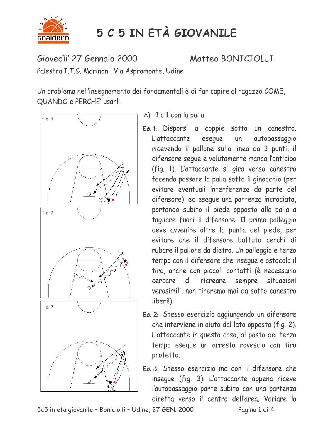

## 5 C 5 IN ETÀ GIOVANILE

Giovedìi' 27 Gennaio 2000

Matteo BONICIOLLI

Palestra I.T.G. Marinoni, Via Aspromonte, Udine

Un problema nell'insegnamento dei fondamentali è di far capire al ragazzo COME, QUANDO e PERCHE' usarli.



## A) 1 c 1 con la palla

- Es. 1: Disporsi a coppie sotto un canestro. eseque L'attaccante autopassaggio un ricevendo il pallone sulla linea da 3 punti, il difensore seque e volutamente manca l'anticipo (fig. 1). L'attaccante si gira verso canestro facendo passare la palla sotto il ginocchio (per evitare eventuali interferenze da parte del difensore), ed eseque una partenza incrociata, portando subito il piede opposto alla palla a tagliare fuori il difensore. Il primo palleggio deve avvenire oltre la punta del piede, per evitare che il difensore battuto cerchi di rubare il pallone da dietro. Un palleggio e terzo tempo con il difensore che inseque e ostacola il tiro, anche con piccoli contatti (è necessario di ricreare sempre situazioni cercare verosimili, non tireremo mai da sotto canestro liberi!).
- Es. 2: Stesso esercizio aggiungendo un difensore che interviene in aiuto dal lato opposto (fig. 2). L'attaccante in questo caso, al posto del terzo tempo eseque un arresto rovescio con tiro protetto.
- Es. 3: Stesso esercizio ma con il difensore che inseque (fig. 3). L'attaccante appena riceve l'autopassaggio parte subito con una partenza diretta verso il centro dell'area. Variare la

5c5 in età giovanile - Boniciolli - Udine, 27 GEN, 2000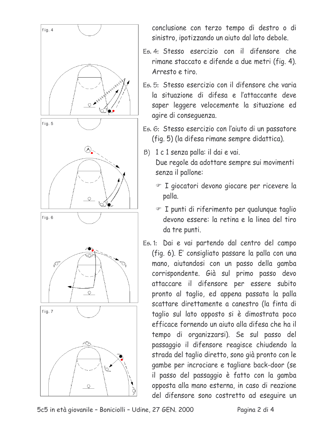

conclusione con terzo tempo di destro o di sinistro, ipotizzando un aiuto dal lato debole.

- Es. 4: Stesso esercizio con il difensore che rimane staccato e difende a due metri (fig. 4). Arresto e tiro
- Es 5: Stesso esercizio con il difensore che varia la situazione di difesa e l'attaccante deve saper leggere velocemente la situazione ed agire di conseguenza.
- Es. 6: Stesso esercizio con l'aiuto di un passatore (fig. 5) (la difesa rimane sempre didattica).
- B) 1 c 1 senza palla: il dai e vai. Due regole da adottare sempre sui movimenti senza il pallone:
	- T giocatori devono giocare per ricevere la palla.
	- T punti di riferimento per qualunque taglio devono essere: la retina e la linea del tiro da tre punti.
- Es. 1: Dai e vai partendo dal centro del campo (fig. 6). E' consigliato passare la palla con una mano, aiutandosi con un passo della gamba corrispondente. Già sul primo passo devo attaccare il difensore per essere subito pronto al taglio, ed appena passata la palla scattare direttamente a canestro (la finta di taglio sul lato opposto si è dimostrata poco efficace fornendo un aiuto alla difesa che ha il tempo di organizzarsi). Se sul passo del passaggio il difensore reagisce chiudendo la strada del taglio diretto, sono già pronto con le gambe per incrociare e tagliare back-door (se il passo del passaggio è fatto con la gamba opposta alla mano esterna, in caso di reazione del difensore sono costretto ad eseguire un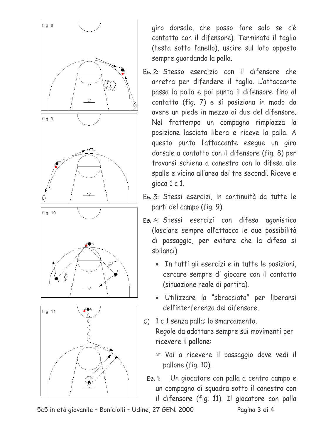

giro dorsale, che posso fare solo se c'è contatto con il difensore). Terminato il taglio (testa sotto l'anello), uscire sul lato opposto sempre quardando la palla.

- Es. 2: Stesso esercizio con il difensore che arretra per difendere il taglio. L'attaccante passa la palla e poi punta il difensore fino al contatto (fig. 7) e si posiziona in modo da avere un piede in mezzo ai due del difensore. Nel frattempo un compagno rimpiazza la posizione lasciata libera e riceve la palla. A questo punto l'attaccante eseque un giro dorsale a contatto con il difensore (fig. 8) per trovarsi schiena a canestro con la difesa alle spalle e vicino all'area dei tre secondi. Riceve e gioca 1 c 1.
- Es. 3: Stessi esercizi, in continuità da tutte le parti del campo (fig. 9).
- Es. 4: Stessi esercizi con difesa agonistica (lasciare sempre all'attacco le due possibilità di passaggio, per evitare che la difesa si sbilanci).
	- In tutti gli esercizi e in tutte le posizioni, cercare sempre di giocare con il contatto (situazione reale di partita).
	- · Utilizzare la "sbracciata" per liberarsi dell'interferenza del difensore.
- $C$ ) 1 c 1 senza palla: lo smarcamento. Regole da adottare sempre sui movimenti per ricevere il pallone:
	- Vai a ricevere il passaggio dove vedi il pallone (fig. 10).
	- Un giocatore con palla a centro campo e  $E5.1:$ un compagno di squadra sotto il canestro con il difensore (fig. 11). Il giocatore con palla

5c5 in età giovanile - Boniciolli - Udine, 27 GEN, 2000